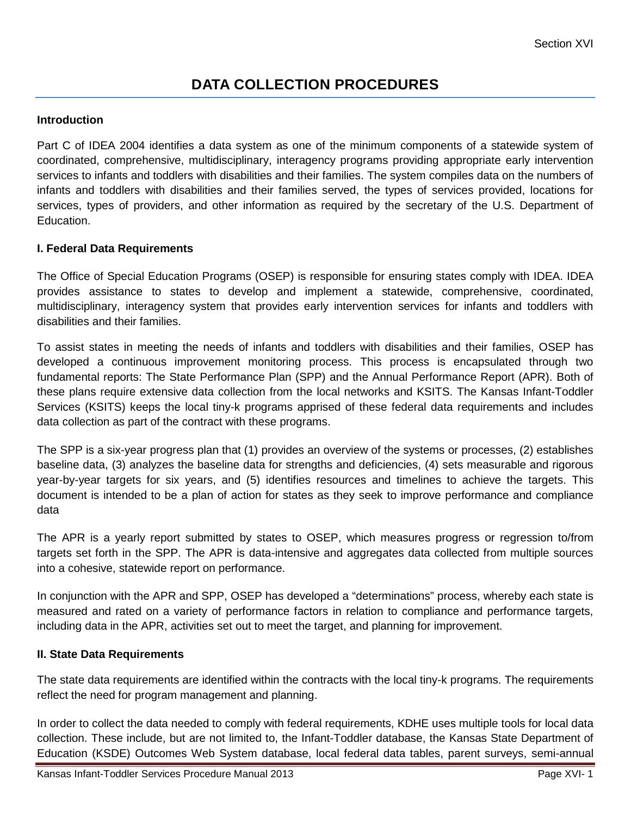## **DATA COLLECTION PROCEDURES**

## **Introduction**

Part C of IDEA 2004 identifies a data system as one of the minimum components of a statewide system of coordinated, comprehensive, multidisciplinary, interagency programs providing appropriate early intervention services to infants and toddlers with disabilities and their families. The system compiles data on the numbers of infants and toddlers with disabilities and their families served, the types of services provided, locations for services, types of providers, and other information as required by the secretary of the U.S. Department of Education.

## **I. Federal Data Requirements**

The Office of Special Education Programs (OSEP) is responsible for ensuring states comply with IDEA. IDEA provides assistance to states to develop and implement a statewide, comprehensive, coordinated, multidisciplinary, interagency system that provides early intervention services for infants and toddlers with disabilities and their families.

To assist states in meeting the needs of infants and toddlers with disabilities and their families, OSEP has developed a continuous improvement monitoring process. This process is encapsulated through two fundamental reports: The State Performance Plan (SPP) and the Annual Performance Report (APR). Both of these plans require extensive data collection from the local networks and KSITS. The Kansas Infant-Toddler Services (KSITS) keeps the local tiny-k programs apprised of these federal data requirements and includes data collection as part of the contract with these programs.

The SPP is a six-year progress plan that (1) provides an overview of the systems or processes, (2) establishes baseline data, (3) analyzes the baseline data for strengths and deficiencies, (4) sets measurable and rigorous year-by-year targets for six years, and (5) identifies resources and timelines to achieve the targets. This document is intended to be a plan of action for states as they seek to improve performance and compliance data

The APR is a yearly report submitted by states to OSEP, which measures progress or regression to/from targets set forth in the SPP. The APR is data-intensive and aggregates data collected from multiple sources into a cohesive, statewide report on performance.

In conjunction with the APR and SPP, OSEP has developed a "determinations" process, whereby each state is measured and rated on a variety of performance factors in relation to compliance and performance targets, including data in the APR, activities set out to meet the target, and planning for improvement.

## **II. State Data Requirements**

The state data requirements are identified within the contracts with the local tiny-k programs. The requirements reflect the need for program management and planning.

In order to collect the data needed to comply with federal requirements, KDHE uses multiple tools for local data collection. These include, but are not limited to, the Infant-Toddler database, the Kansas State Department of Education (KSDE) Outcomes Web System database, local federal data tables, parent surveys, semi-annual